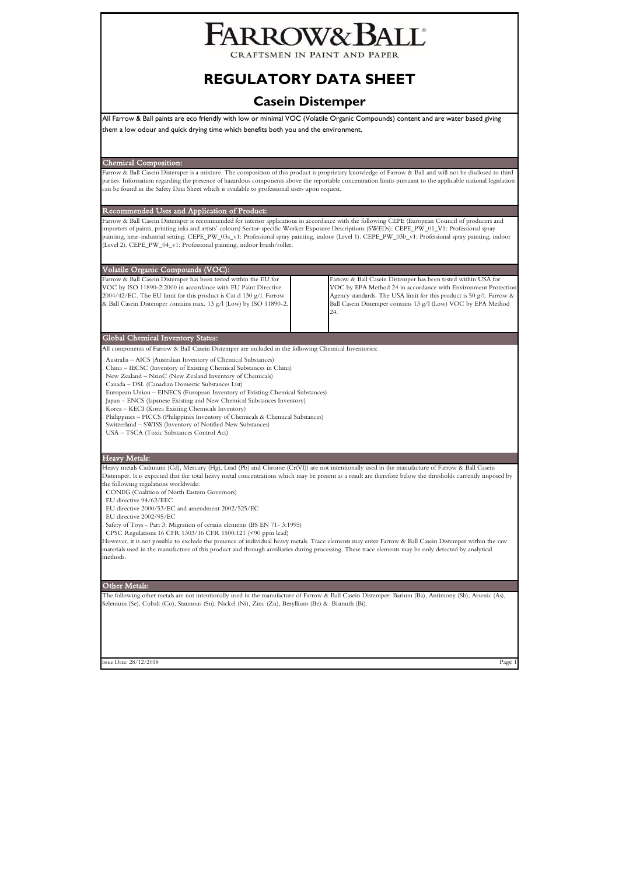# ARROW&B/

CRAFTSMEN IN PAINT AND PAPER

## **REGULATORY DATA SHEET**

## **Casein Distemper**

All Farrow & Ball paints are eco friendly with low or minimal VOC (Volatile Organic Compounds) content and are water based giving them a low odour and quick drying time which benefits both you and the environment.

Chemical Composition:

Farrow & Ball Casein Distemper is a mixture. The composition of this product is proprietary knowledge of Farrow & Ball and will not be disclosed to third parties. Information regarding the presence of hazardous components above the reportable concentration limits pursuant to the applicable national legislation can be found in the Safety Data Sheet which is available to professional users upon request.

Recommended Uses and Application of Product:

Farrow & Ball Casein Distemper is recommended for interior applications in accordance with the following CEPE (European Council of producers and<br>importers of paints, printing inks and artists' colours) Sector-specific Work painting, near-industrial setting. CEPE\_PW\_03a\_v1: Professional spray painting, indoor (Level 1). CEPE\_PW\_03b\_v1: Professional spray painting, indoor (Level 2). CEPE\_PW\_04\_v1: Professional painting, indoor brush/roller.

| Volatile Organic Compounds (VOC):                                                                                                                                                                                                                                             |                                                                                                                                                                                                                                                                                 |
|-------------------------------------------------------------------------------------------------------------------------------------------------------------------------------------------------------------------------------------------------------------------------------|---------------------------------------------------------------------------------------------------------------------------------------------------------------------------------------------------------------------------------------------------------------------------------|
| Farrow & Ball Casein Distemper has been tested within the EU for<br>VOC by ISO 11890-2:2000 in accordance with EU Paint Directive<br>2004/42/EC. The EU limit for this product is Cat d 130 g/l. Farrow<br>& Ball Casein Distemper contains max. 13 g/l (Low) by ISO 11890-2. | Farrow & Ball Casein Distemper has been tested within USA for<br>VOC by EPA Method 24 in accordance with Environment Protection<br>Agency standards. The USA limit for this product is 50 g/l. Farrow &<br>Ball Casein Distemper contains 13 g/l (Low) VOC by EPA Method<br>24. |
|                                                                                                                                                                                                                                                                               |                                                                                                                                                                                                                                                                                 |

Global Chemical Inventory Status:

All components of Farrow & Ball Casein Distemper are included in the following Chemical Inventories:

. Australia – AICS (Australian Inventory of Chemical Substances)

. China – IECSC (Inventory of Existing Chemical Substances in China)

. New Zealand – NzioC (New Zealand Inventory of Chemicals)

. Canada – DSL (Canadian Domestic Substances List)

. European Union – EINECS (European Inventory of Existing Chemical Substances) . Japan – ENCS (Japanese Existing and New Chemical Substances Inventory)

. Korea – KECI (Korea Existing Chemicals Inventory)

. Philippines – PICCS (Philippines Inventory of Chemicals & Chemical Substances)

. Switzerland – SWISS (Inventory of Notified New Substances)

. USA – TSCA (Toxic Substances Control Act)

## Heavy Metals:

Heavy metals Cadmium (Cd), Mercury (Hg), Lead (Pb) and Chrome (Cr(VI)) are not intentionally used in the manufacture of Farrow & Ball Casein Distemper. It is expected that the total heavy metal concentrations which may be present as a result are therefore below the thresholds currently imposed by the following regulations worldwide:

. CONEG (Coalition of North Eastern Governors)

. EU directive 94/62/EEC

. EU directive 2000/53/EC and amendment 2002/525/EC

. EU directive 2002/95/EC

. Safety of Toys - Part 3: Migration of certain elements (BS EN 71- 3:1995)

. CPSC Regulations 16 CFR 1303/16 CFR 1500:121 (<90 ppm lead)

However, it is not possible to exclude the presence of individual heavy metals. Trace elements may enter Farrow & Ball Casein Distemper within the raw materials used in the manufacture of this product and through auxiliaries during processing. These trace elements may be only detected by analytical methods.

## Other Metals:

The following other metals are not intentionally used in the manufacture of Farrow & Ball Casein Distemper: Barium (Ba), Antimony (Sb), Arsenic (As), Selenium (Se), Cobalt (Co), Stannous (Sn), Nickel (Ni), Zinc (Zn), Beryllium (Be) & Bismuth (Bi).

 $\log 28/12/2018$  Page